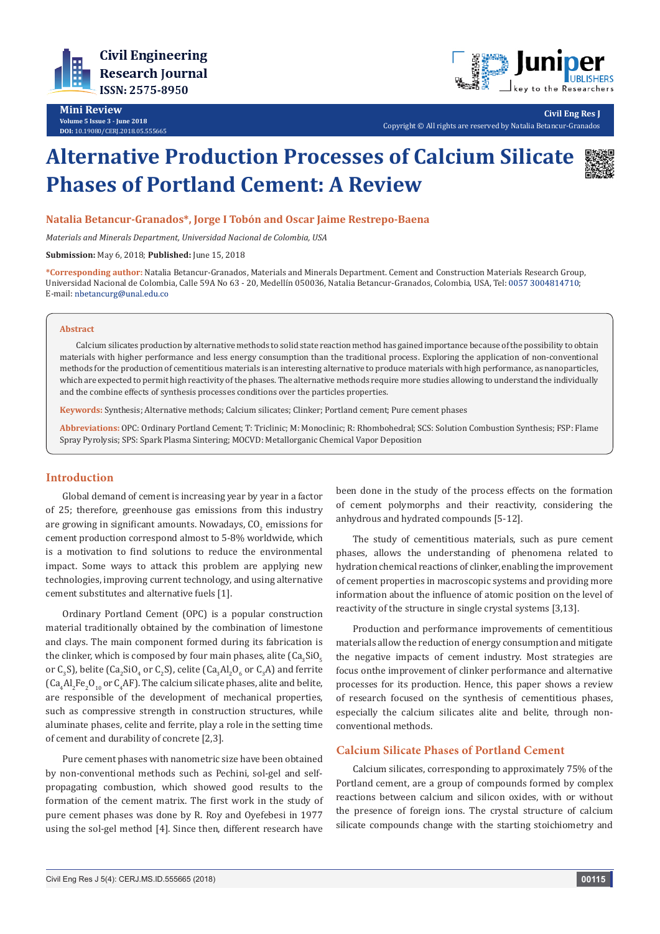



**Civil Eng Res J**

Copyright © All rights are reserved by Natalia Betancur-Granados

# **Alternative Production Processes of Calcium Silicate Phases of Portland Cement: A Review**



## **Natalia Betancur-Granados\*, Jorge I Tobón and Oscar Jaime Restrepo-Baena**

*Materials and Minerals Department, Universidad Nacional de Colombia, USA*

**Submission:** May 6, 2018; **Published:** June 15, 2018

**\*Corresponding author:** Natalia Betancur-Granados, Materials and Minerals Department. Cement and Construction Materials Research Group, Universidad Nacional de Colombia, Calle 59A No 63 - 20, Medellín 050036, Natalia Betancur-Granados, Colombia, USA, Tel: 0057 3004814710; E-mail: nbetancurg@unal.edu.co

#### **Abstract**

Calcium silicates production by alternative methods to solid state reaction method has gained importance because of the possibility to obtain materials with higher performance and less energy consumption than the traditional process. Exploring the application of non-conventional methods for the production of cementitious materials is an interesting alternative to produce materials with high performance, as nanoparticles, which are expected to permit high reactivity of the phases. The alternative methods require more studies allowing to understand the individually and the combine effects of synthesis processes conditions over the particles properties.

**Keywords:** Synthesis; Alternative methods; Calcium silicates; Clinker; Portland cement; Pure cement phases

**Abbreviations:** OPC: Ordinary Portland Cement; T: Triclinic; M: Monoclinic; R: Rhombohedral; SCS: Solution Combustion Synthesis; FSP: Flame Spray Pyrolysis; SPS: Spark Plasma Sintering; MOCVD: Metallorganic Chemical Vapor Deposition

# **Introduction**

Global demand of cement is increasing year by year in a factor of 25; therefore, greenhouse gas emissions from this industry are growing in significant amounts. Nowadays,  $\mathop{\rm CO}_{2}$  emissions for cement production correspond almost to 5-8% worldwide, which is a motivation to find solutions to reduce the environmental impact. Some ways to attack this problem are applying new technologies, improving current technology, and using alternative cement substitutes and alternative fuels [1].

Ordinary Portland Cement (OPC) is a popular construction material traditionally obtained by the combination of limestone and clays. The main component formed during its fabrication is the clinker, which is composed by four main phases, alite  $(\mathsf{Ca}_{3}\mathsf{SiO}_{5})$ or C<sub>3</sub>S), belite (Ca<sub>2</sub>SiO<sub>4</sub> or C<sub>2</sub>S), celite (Ca<sub>3</sub>Al<sub>2</sub>O<sub>6</sub> or C<sub>3</sub>A) and ferrite  $\left(\mathsf{Ca}_{4}\mathrm{Al}_{2}\mathrm{Fe}_{2}\mathrm{O}_{10}\right)$  or  $\mathsf{C}_{4}\mathrm{AF}$  ). The calcium silicate phases, alite and belite, are responsible of the development of mechanical properties, such as compressive strength in construction structures, while aluminate phases, celite and ferrite, play a role in the setting time of cement and durability of concrete [2,3].

Pure cement phases with nanometric size have been obtained by non-conventional methods such as Pechini, sol-gel and selfpropagating combustion, which showed good results to the formation of the cement matrix. The first work in the study of pure cement phases was done by R. Roy and Oyefebesi in 1977 using the sol-gel method [4]. Since then, different research have

been done in the study of the process effects on the formation of cement polymorphs and their reactivity, considering the anhydrous and hydrated compounds [5-12].

The study of cementitious materials, such as pure cement phases, allows the understanding of phenomena related to hydration chemical reactions of clinker, enabling the improvement of cement properties in macroscopic systems and providing more information about the influence of atomic position on the level of reactivity of the structure in single crystal systems [3,13].

Production and performance improvements of cementitious materials allow the reduction of energy consumption and mitigate the negative impacts of cement industry. Most strategies are focus onthe improvement of clinker performance and alternative processes for its production. Hence, this paper shows a review of research focused on the synthesis of cementitious phases, especially the calcium silicates alite and belite, through nonconventional methods.

# **Calcium Silicate Phases of Portland Cement**

Calcium silicates, corresponding to approximately 75% of the Portland cement, are a group of compounds formed by complex reactions between calcium and silicon oxides, with or without the presence of foreign ions. The crystal structure of calcium silicate compounds change with the starting stoichiometry and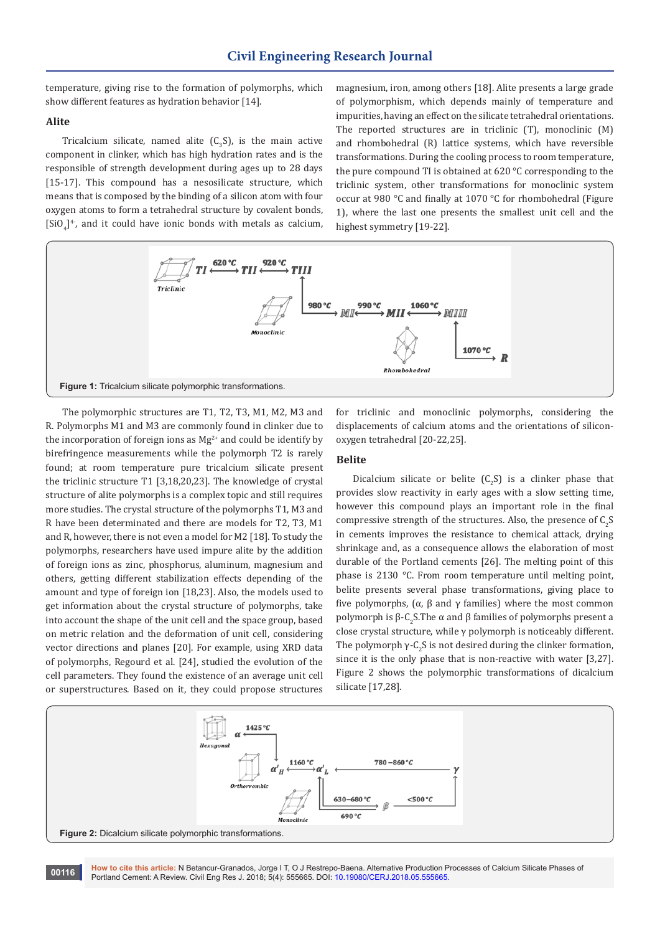temperature, giving rise to the formation of polymorphs, which show different features as hydration behavior [14].

#### **Alite**

Tricalcium silicate, named alite  $(C_3S)$ , is the main active component in clinker, which has high hydration rates and is the responsible of strength development during ages up to 28 days [15-17]. This compound has a nesosilicate structure, which means that is composed by the binding of a silicon atom with four oxygen atoms to form a tetrahedral structure by covalent bonds,  $\left[SiO_4\right]^4$ , and it could have ionic bonds with metals as calcium, magnesium, iron, among others [18]. Alite presents a large grade of polymorphism, which depends mainly of temperature and impurities, having an effect on the silicate tetrahedral orientations. The reported structures are in triclinic (T), monoclinic (M) and rhombohedral (R) lattice systems, which have reversible transformations. During the cooling process to room temperature, the pure compound TI is obtained at 620 °C corresponding to the triclinic system, other transformations for monoclinic system occur at 980 °C and finally at 1070 °C for rhombohedral (Figure 1), where the last one presents the smallest unit cell and the highest symmetry [19-22].



The polymorphic structures are T1, T2, T3, M1, M2, M3 and R. Polymorphs M1 and M3 are commonly found in clinker due to the incorporation of foreign ions as  $Mg^{2+}$  and could be identify by birefringence measurements while the polymorph T2 is rarely found; at room temperature pure tricalcium silicate present the triclinic structure T1 [3,18,20,23]. The knowledge of crystal structure of alite polymorphs is a complex topic and still requires more studies. The crystal structure of the polymorphs T1, M3 and R have been determinated and there are models for T2, T3, M1 and R, however, there is not even a model for M2 [18]. To study the polymorphs, researchers have used impure alite by the addition of foreign ions as zinc, phosphorus, aluminum, magnesium and others, getting different stabilization effects depending of the amount and type of foreign ion [18,23]. Also, the models used to get information about the crystal structure of polymorphs, take into account the shape of the unit cell and the space group, based on metric relation and the deformation of unit cell, considering vector directions and planes [20]. For example, using XRD data of polymorphs, Regourd et al. [24], studied the evolution of the cell parameters. They found the existence of an average unit cell or superstructures. Based on it, they could propose structures for triclinic and monoclinic polymorphs, considering the displacements of calcium atoms and the orientations of siliconoxygen tetrahedral [20-22,25].

#### **Belite**

Dicalcium silicate or belite  $(C_2S)$  is a clinker phase that provides slow reactivity in early ages with a slow setting time, however this compound plays an important role in the final compressive strength of the structures. Also, the presence of  $C_2S$ in cements improves the resistance to chemical attack, drying shrinkage and, as a consequence allows the elaboration of most durable of the Portland cements [26]. The melting point of this phase is 2130 °C. From room temperature until melting point, belite presents several phase transformations, giving place to five polymorphs, (α, β and γ families) where the most common polymorph is β-C<sub>2</sub>S.The α and β families of polymorphs present a close crystal structure, while γ polymorph is noticeably different. The polymorph  $\gamma$ -C<sub>2</sub>S is not desired during the clinker formation, since it is the only phase that is non-reactive with water [3,27]. Figure 2 shows the polymorphic transformations of dicalcium silicate [17,28].



**How to cite this article:** N Betancur-Granados, Jorge I T, O J Restrepo-Baena. Alternative Production Processes of Calcium Silicate Phases of Portland Cement: A Review. Civil Eng Res J. 2018; 5(4): 555665. DOI: [10.19080/CERJ.2018.05.555665.](http://dx.doi.org/10.19080/CERJ.2018.05.555665) **<sup>00116</sup>**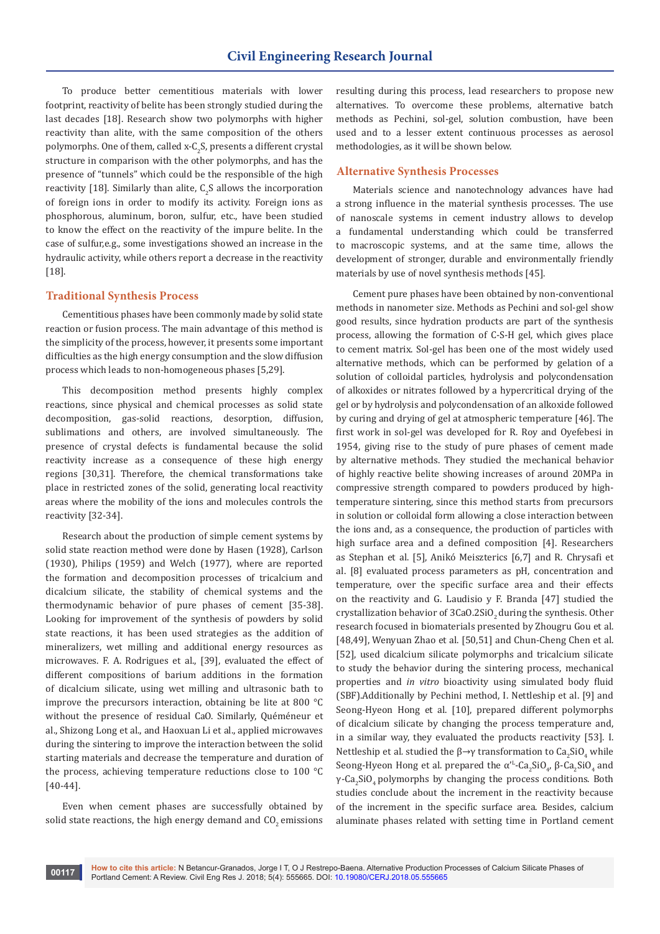To produce better cementitious materials with lower footprint, reactivity of belite has been strongly studied during the last decades [18]. Research show two polymorphs with higher reactivity than alite, with the same composition of the others polymorphs. One of them, called x-C<sub>2</sub>S, presents a different crystal structure in comparison with the other polymorphs, and has the presence of "tunnels" which could be the responsible of the high reactivity [18]. Similarly than alite,  $C_2S$  allows the incorporation of foreign ions in order to modify its activity. Foreign ions as phosphorous, aluminum, boron, sulfur, etc., have been studied to know the effect on the reactivity of the impure belite. In the case of sulfur,e.g., some investigations showed an increase in the hydraulic activity, while others report a decrease in the reactivity [18].

## **Traditional Synthesis Process**

Cementitious phases have been commonly made by solid state reaction or fusion process. The main advantage of this method is the simplicity of the process, however, it presents some important difficulties as the high energy consumption and the slow diffusion process which leads to non-homogeneous phases [5,29].

This decomposition method presents highly complex reactions, since physical and chemical processes as solid state decomposition, gas-solid reactions, desorption, diffusion, sublimations and others, are involved simultaneously. The presence of crystal defects is fundamental because the solid reactivity increase as a consequence of these high energy regions [30,31]. Therefore, the chemical transformations take place in restricted zones of the solid, generating local reactivity areas where the mobility of the ions and molecules controls the reactivity [32-34].

Research about the production of simple cement systems by solid state reaction method were done by Hasen (1928), Carlson (1930), Philips (1959) and Welch (1977), where are reported the formation and decomposition processes of tricalcium and dicalcium silicate, the stability of chemical systems and the thermodynamic behavior of pure phases of cement [35-38]. Looking for improvement of the synthesis of powders by solid state reactions, it has been used strategies as the addition of mineralizers, wet milling and additional energy resources as microwaves. F. A. Rodrigues et al., [39], evaluated the effect of different compositions of barium additions in the formation of dicalcium silicate, using wet milling and ultrasonic bath to improve the precursors interaction, obtaining be lite at 800 °C without the presence of residual CaO. Similarly, Quéméneur et al., Shizong Long et al., and Haoxuan Li et al., applied microwaves during the sintering to improve the interaction between the solid starting materials and decrease the temperature and duration of the process, achieving temperature reductions close to 100 °C [40-44].

Even when cement phases are successfully obtained by solid state reactions, the high energy demand and  $CO<sub>2</sub>$  emissions resulting during this process, lead researchers to propose new alternatives. To overcome these problems, alternative batch methods as Pechini, sol-gel, solution combustion, have been used and to a lesser extent continuous processes as aerosol methodologies, as it will be shown below.

## **Alternative Synthesis Processes**

Materials science and nanotechnology advances have had a strong influence in the material synthesis processes. The use of nanoscale systems in cement industry allows to develop a fundamental understanding which could be transferred to macroscopic systems, and at the same time, allows the development of stronger, durable and environmentally friendly materials by use of novel synthesis methods [45].

Cement pure phases have been obtained by non-conventional methods in nanometer size. Methods as Pechini and sol-gel show good results, since hydration products are part of the synthesis process, allowing the formation of C-S-H gel, which gives place to cement matrix. Sol-gel has been one of the most widely used alternative methods, which can be performed by gelation of a solution of colloidal particles, hydrolysis and polycondensation of alkoxides or nitrates followed by a hypercritical drying of the gel or by hydrolysis and polycondensation of an alkoxide followed by curing and drying of gel at atmospheric temperature [46]. The first work in sol-gel was developed for R. Roy and Oyefebesi in 1954, giving rise to the study of pure phases of cement made by alternative methods. They studied the mechanical behavior of highly reactive belite showing increases of around 20MPa in compressive strength compared to powders produced by hightemperature sintering, since this method starts from precursors in solution or colloidal form allowing a close interaction between the ions and, as a consequence, the production of particles with high surface area and a defined composition [4]. Researchers as Stephan et al. [5], Anikó Meiszterics [6,7] and R. Chrysafi et al. [8] evaluated process parameters as pH, concentration and temperature, over the specific surface area and their effects on the reactivity and G. Laudisio y F. Branda [47] studied the crystallization behavior of 3CaO.2SiO<sub>2</sub> during the synthesis. Other research focused in biomaterials presented by Zhougru Gou et al. [48,49], Wenyuan Zhao et al. [50,51] and Chun-Cheng Chen et al. [52], used dicalcium silicate polymorphs and tricalcium silicate to study the behavior during the sintering process, mechanical properties and *in vitro* bioactivity using simulated body fluid (SBF).Additionally by Pechini method, I. Nettleship et al. [9] and Seong-Hyeon Hong et al. [10], prepared different polymorphs of dicalcium silicate by changing the process temperature and, in a similar way, they evaluated the products reactivity [53]. I. Nettleship et al. studied the  $\beta \rightarrow \gamma$  transformation to  $\text{Ca}_2\text{SiO}_4$  while Seong-Hyeon Hong et al. prepared the  $\alpha'^L$ -Ca<sub>2</sub>SiO<sub>4</sub>,  $\beta$ -Ca<sub>2</sub>SiO<sub>4</sub> and γ-Ca<sub>2</sub>SiO<sub>4</sub> polymorphs by changing the process conditions. Both studies conclude about the increment in the reactivity because of the increment in the specific surface area. Besides, calcium aluminate phases related with setting time in Portland cement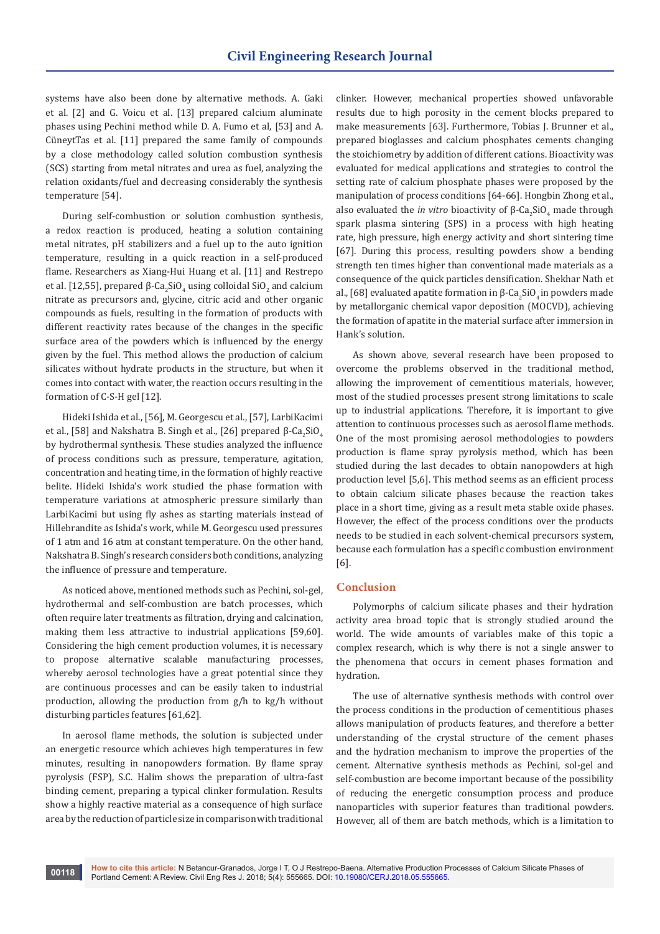systems have also been done by alternative methods. A. Gaki et al. [2] and G. Voicu et al. [13] prepared calcium aluminate phases using Pechini method while D. A. Fumo et al, [53] and A. CüneytTas et al. [11] prepared the same family of compounds by a close methodology called solution combustion synthesis (SCS) starting from metal nitrates and urea as fuel, analyzing the relation oxidants/fuel and decreasing considerably the synthesis temperature [54].

During self-combustion or solution combustion synthesis, a redox reaction is produced, heating a solution containing metal nitrates, pH stabilizers and a fuel up to the auto ignition temperature, resulting in a quick reaction in a self-produced flame. Researchers as Xiang-Hui Huang et al. [11] and Restrepo et al. [12,55], prepared β-Ca<sub>2</sub>SiO<sub>4</sub> using colloidal SiO<sub>2</sub> and calcium nitrate as precursors and, glycine, citric acid and other organic compounds as fuels, resulting in the formation of products with different reactivity rates because of the changes in the specific surface area of the powders which is influenced by the energy given by the fuel. This method allows the production of calcium silicates without hydrate products in the structure, but when it comes into contact with water, the reaction occurs resulting in the formation of C-S-H gel [12].

Hideki Ishida et al., [56], M. Georgescu et al., [57], LarbiKacimi et al., [58] and Nakshatra B. Singh et al., [26] prepared β-Ca $_2$ SiO $_4$ by hydrothermal synthesis. These studies analyzed the influence of process conditions such as pressure, temperature, agitation, concentration and heating time, in the formation of highly reactive belite. Hideki Ishida's work studied the phase formation with temperature variations at atmospheric pressure similarly than LarbiKacimi but using fly ashes as starting materials instead of Hillebrandite as Ishida's work, while M. Georgescu used pressures of 1 atm and 16 atm at constant temperature. On the other hand, Nakshatra B. Singh's research considers both conditions, analyzing the influence of pressure and temperature.

As noticed above, mentioned methods such as Pechini, sol-gel, hydrothermal and self-combustion are batch processes, which often require later treatments as filtration, drying and calcination, making them less attractive to industrial applications [59,60]. Considering the high cement production volumes, it is necessary to propose alternative scalable manufacturing processes, whereby aerosol technologies have a great potential since they are continuous processes and can be easily taken to industrial production, allowing the production from g/h to kg/h without disturbing particles features [61,62].

In aerosol flame methods, the solution is subjected under an energetic resource which achieves high temperatures in few minutes, resulting in nanopowders formation. By flame spray pyrolysis (FSP), S.C. Halim shows the preparation of ultra-fast binding cement, preparing a typical clinker formulation. Results show a highly reactive material as a consequence of high surface area by the reduction of particle size in comparison with traditional

clinker. However, mechanical properties showed unfavorable results due to high porosity in the cement blocks prepared to make measurements [63]. Furthermore, Tobias J. Brunner et al., prepared bioglasses and calcium phosphates cements changing the stoichiometry by addition of different cations. Bioactivity was evaluated for medical applications and strategies to control the setting rate of calcium phosphate phases were proposed by the manipulation of process conditions [64-66]. Hongbin Zhong et al., also evaluated the *in vitro* bioactivity of  $β$ -Ca<sub>2</sub>SiO<sub>4</sub> made through spark plasma sintering (SPS) in a process with high heating rate, high pressure, high energy activity and short sintering time [67]. During this process, resulting powders show a bending strength ten times higher than conventional made materials as a consequence of the quick particles densification. Shekhar Nath et al., [68] evaluated apatite formation in β-Ca $_2$ SiO $_4$ in powders made by metallorganic chemical vapor deposition (MOCVD), achieving the formation of apatite in the material surface after immersion in Hank's solution.

As shown above, several research have been proposed to overcome the problems observed in the traditional method, allowing the improvement of cementitious materials, however, most of the studied processes present strong limitations to scale up to industrial applications. Therefore, it is important to give attention to continuous processes such as aerosol flame methods. One of the most promising aerosol methodologies to powders production is flame spray pyrolysis method, which has been studied during the last decades to obtain nanopowders at high production level [5,6]. This method seems as an efficient process to obtain calcium silicate phases because the reaction takes place in a short time, giving as a result meta stable oxide phases. However, the effect of the process conditions over the products needs to be studied in each solvent-chemical precursors system, because each formulation has a specific combustion environment [6].

#### **Conclusion**

Polymorphs of calcium silicate phases and their hydration activity area broad topic that is strongly studied around the world. The wide amounts of variables make of this topic a complex research, which is why there is not a single answer to the phenomena that occurs in cement phases formation and hydration.

The use of alternative synthesis methods with control over the process conditions in the production of cementitious phases allows manipulation of products features, and therefore a better understanding of the crystal structure of the cement phases and the hydration mechanism to improve the properties of the cement. Alternative synthesis methods as Pechini, sol-gel and self-combustion are become important because of the possibility of reducing the energetic consumption process and produce nanoparticles with superior features than traditional powders. However, all of them are batch methods, which is a limitation to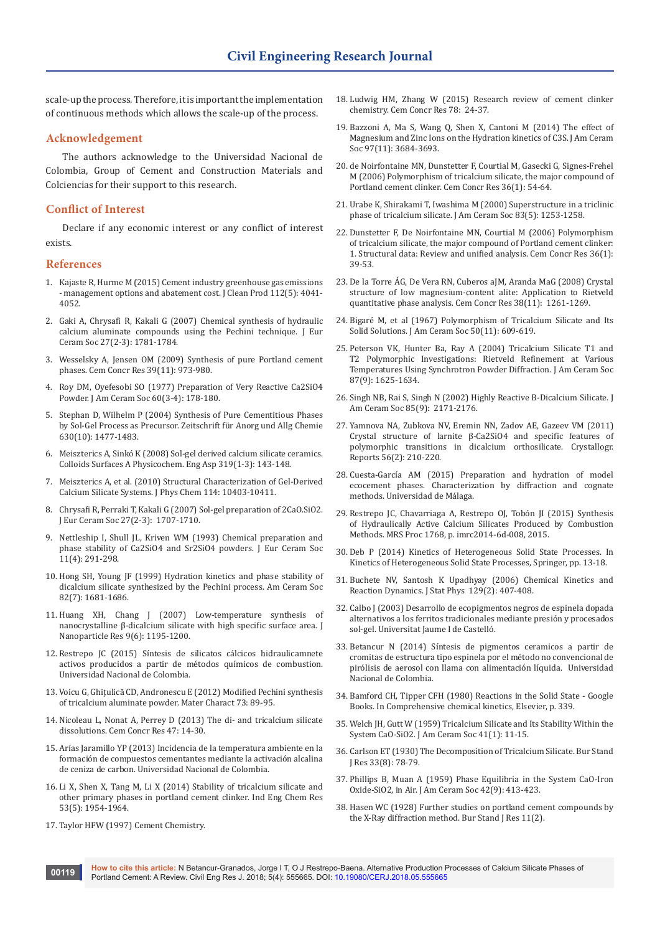scale-up the process. Therefore, it is important the implementation of continuous methods which allows the scale-up of the process.

#### **Acknowledgement**

The authors acknowledge to the Universidad Nacional de Colombia, Group of Cement and Construction Materials and Colciencias for their support to this research.

#### **Conflict of Interest**

Declare if any economic interest or any conflict of interest exists.

#### **References**

- 1. [Kajaste R, Hurme M \(2015\) Cement industry greenhouse gas emissions](https://www.sciencedirect.com/science/article/pii/S095965261500983X)  [- management options and abatement cost. J Clean Prod 112\(5\): 4041-](https://www.sciencedirect.com/science/article/pii/S095965261500983X) [4052.](https://www.sciencedirect.com/science/article/pii/S095965261500983X)
- 2. [Gaki A, Chrysafi R, Kakali G \(2007\) Chemical synthesis of hydraulic](https://www.sciencedirect.com/science/article/pii/S0955221906003207)  [calcium aluminate compounds using the Pechini technique. J Eur](https://www.sciencedirect.com/science/article/pii/S0955221906003207)  [Ceram Soc 27\(2-3\): 1781-1784.](https://www.sciencedirect.com/science/article/pii/S0955221906003207)
- 3. [Wesselsky A, Jensen OM \(2009\) Synthesis of pure Portland cement](https://www.sciencedirect.com/science/article/pii/S0008884609001744)  [phases. Cem Concr Res 39\(11\): 973-980.](https://www.sciencedirect.com/science/article/pii/S0008884609001744)
- 4. [Roy DM, Oyefesobi SO \(1977\) Preparation of Very Reactive Ca2SiO4](https://onlinelibrary.wiley.com/doi/abs/10.1111/j.1151-2916.1977.tb15506.x)  [Powder. J Am Ceram Soc 60\(3-4\): 178-180.](https://onlinelibrary.wiley.com/doi/abs/10.1111/j.1151-2916.1977.tb15506.x)
- 5. [Stephan D, Wilhelm P \(2004\) Synthesis of Pure Cementitious Phases](https://onlinelibrary.wiley.com/doi/pdf/10.1002/zaac.200400090)  [by Sol-Gel Process as Precursor. Zeitschrift für Anorg und Allg Chemie](https://onlinelibrary.wiley.com/doi/pdf/10.1002/zaac.200400090)  [630\(10\): 1477-1483.](https://onlinelibrary.wiley.com/doi/pdf/10.1002/zaac.200400090)
- 6. [Meiszterics A, Sinkó K \(2008\) Sol-gel derived calcium silicate ceramics.](https://www.sciencedirect.com/science/article/pii/S0927775707008102)  [Colloids Surfaces A Physicochem. Eng Asp 319\(1-3\): 143-148.](https://www.sciencedirect.com/science/article/pii/S0927775707008102)
- 7. [Meiszterics A, et al. \(2010\) Structural Characterization of Gel-Derived](https://pubs.acs.org/doi/abs/10.1021/jp1053502)  [Calcium Silicate Systems. J Phys Chem 114: 10403-10411.](https://pubs.acs.org/doi/abs/10.1021/jp1053502)
- 8. [Chrysafi R, Perraki T, Kakali G \(2007\) Sol-gel preparation of 2CaO.SiO2.](https://www.sciencedirect.com/science/article/pii/S0955221906003220)  [J Eur Ceram Soc 27\(2-3\): 1707-1710.](https://www.sciencedirect.com/science/article/pii/S0955221906003220)
- 9. [Nettleship I, Shull JL, Kriven WM \(1993\) Chemical preparation and](https://www.sciencedirect.com/science/article/pii/095522199390028P)  [phase stability of Ca2SiO4 and Sr2SiO4 powders. J Eur Ceram Soc](https://www.sciencedirect.com/science/article/pii/095522199390028P)  [11\(4\): 291-298.](https://www.sciencedirect.com/science/article/pii/095522199390028P)
- 10. [Hong SH, Young JF \(1999\) Hydration kinetics and phase stability of](https://onlinelibrary.wiley.com/doi/abs/10.1111/j.1151-2916.1999.tb01986.x)  [dicalcium silicate synthesized by the Pechini process. Am Ceram Soc](https://onlinelibrary.wiley.com/doi/abs/10.1111/j.1151-2916.1999.tb01986.x)  [82\(7\): 1681-1686.](https://onlinelibrary.wiley.com/doi/abs/10.1111/j.1151-2916.1999.tb01986.x)
- 11. [Huang XH, Chang J \(2007\) Low-temperature synthesis of](https://link.springer.com/article/10.1007/s11051-006-9202-6)  [nanocrystalline β-dicalcium silicate with high specific surface area. J](https://link.springer.com/article/10.1007/s11051-006-9202-6)  [Nanoparticle Res 9\(6\): 1195-1200.](https://link.springer.com/article/10.1007/s11051-006-9202-6)
- 12. Restrepo JC (2015) Síntesis de silicatos cálcicos hidraulicamnete activos producidos a partir de métodos químicos de combustion. Universidad Nacional de Colombia.
- 13. [Voicu G, Ghiţulică CD, Andronescu E \(2012\) Modified Pechini synthesis](https://www.sciencedirect.com/science/article/pii/S1044580312002069)  [of tricalcium aluminate powder. Mater Charact 73: 89-95.](https://www.sciencedirect.com/science/article/pii/S1044580312002069)
- 14. [Nicoleau L, Nonat A, Perrey D \(2013\) The di- and tricalcium silicate](https://www.sciencedirect.com/science/article/pii/S0008884613000240)  [dissolutions. Cem Concr Res 47: 14-30.](https://www.sciencedirect.com/science/article/pii/S0008884613000240)
- 15. [Arías Jaramillo YP \(2013\) Incidencia de la temperatura ambiente en la](https://core.ac.uk/download/pdf/77267034.pdf)  [formación de compuestos cementantes mediante la activación alcalina](https://core.ac.uk/download/pdf/77267034.pdf)  [de ceniza de carbon. Universidad Nacional de Colombia.](https://core.ac.uk/download/pdf/77267034.pdf)
- 16. [Li X, Shen X, Tang M, Li X \(2014\) Stability of tricalcium silicate and](https://pubs.acs.org/doi/abs/10.1021/ie4034076)  [other primary phases in portland cement clinker. Ind Eng Chem Res](https://pubs.acs.org/doi/abs/10.1021/ie4034076)  [53\(5\): 1954-1964.](https://pubs.acs.org/doi/abs/10.1021/ie4034076)
- 17. [Taylor HFW \(1997\) Cement Chemistry.](https://www.icevirtuallibrary.com/isbn/9780727739452)
- 18. [Ludwig HM, Zhang W \(2015\) Research review of cement clinker](https://www.sciencedirect.com/science/article/pii/S0008884615001556)  [chemistry. Cem Concr Res 78: 24-37.](https://www.sciencedirect.com/science/article/pii/S0008884615001556)
- 19. [Bazzoni A, Ma S, Wang Q, Shen X, Cantoni M \(2014\) The effect of](https://onlinelibrary.wiley.com/doi/abs/10.1111/jace.13156)  [Magnesium and Zinc Ions on the Hydration kinetics of C3S. J Am Ceram](https://onlinelibrary.wiley.com/doi/abs/10.1111/jace.13156)  [Soc 97\(11\): 3684-3693.](https://onlinelibrary.wiley.com/doi/abs/10.1111/jace.13156)
- 20. [de Noirfontaine MN, Dunstetter F, Courtial M, Gasecki G, Signes-Frehel](https://www.sciencedirect.com/science/article/pii/S0008884604005149)  [M \(2006\) Polymorphism of tricalcium silicate, the major compound of](https://www.sciencedirect.com/science/article/pii/S0008884604005149)  [Portland cement clinker. Cem Concr Res 36\(1\): 54-64.](https://www.sciencedirect.com/science/article/pii/S0008884604005149)
- 21. [Urabe K, Shirakami T, Iwashima M \(2000\) Superstructure in a triclinic](https://onlinelibrary.wiley.com/doi/abs/10.1111/j.1151-2916.2000.tb01363.x)  [phase of tricalcium silicate. J Am Ceram Soc 83\(5\): 1253-1258.](https://onlinelibrary.wiley.com/doi/abs/10.1111/j.1151-2916.2000.tb01363.x)
- 22. [Dunstetter F, De Noirfontaine MN, Courtial M \(2006\) Polymorphism](https://www.sciencedirect.com/science/article/pii/S0008884604005137)  [of tricalcium silicate, the major compound of Portland cement clinker:](https://www.sciencedirect.com/science/article/pii/S0008884604005137)  [1. Structural data: Review and unified analysis. Cem Concr Res 36\(1\):](https://www.sciencedirect.com/science/article/pii/S0008884604005137)  [39-53.](https://www.sciencedirect.com/science/article/pii/S0008884604005137)
- 23. [De la Torre ÁG, De Vera RN, Cuberos aJM, Aranda MaG \(2008\) Crystal](https://www.sciencedirect.com/science/article/pii/S0008884608001403)  [structure of low magnesium-content alite: Application to Rietveld](https://www.sciencedirect.com/science/article/pii/S0008884608001403)  [quantitative phase analysis. Cem Concr Res 38\(11\): 1261-1269.](https://www.sciencedirect.com/science/article/pii/S0008884608001403)
- 24. [Bigaré M, et al \(1967\) Polymorphism of Tricalcium Silicate and Its](https://onlinelibrary.wiley.com/doi/pdf/10.1111/j.1151-2916.1967.tb15009.x)  [Solid Solutions. J Am Ceram Soc 50\(11\): 609-619.](https://onlinelibrary.wiley.com/doi/pdf/10.1111/j.1151-2916.1967.tb15009.x)
- 25. [Peterson VK, Hunter Ba, Ray A \(2004\) Tricalcium Silicate T1 and](https://onlinelibrary.wiley.com/doi/abs/10.1111/j.1551-2916.2004.01625.x)  [T2 Polymorphic Investigations: Rietveld Refinement at Various](https://onlinelibrary.wiley.com/doi/abs/10.1111/j.1551-2916.2004.01625.x)  [Temperatures Using Synchrotron Powder Diffraction. J Am Ceram Soc](https://onlinelibrary.wiley.com/doi/abs/10.1111/j.1551-2916.2004.01625.x)  [87\(9\): 1625-1634.](https://onlinelibrary.wiley.com/doi/abs/10.1111/j.1551-2916.2004.01625.x)
- 26. [Singh NB, Rai S, Singh N \(2002\) Highly Reactive B-Dicalcium Silicate. J](https://onlinelibrary.wiley.com/doi/full/10.1111/j.1151-2916.2002.tb00430.x)  [Am Ceram Soc 85\(9\): 2171-2176.](https://onlinelibrary.wiley.com/doi/full/10.1111/j.1151-2916.2002.tb00430.x)
- 27. [Yamnova NA, Zubkova NV, Eremin NN, Zadov AE, Gazeev VM \(2011\)](https://link.springer.com/article/10.1134/S1063774511020209)  [Crystal structure of larnite β-Ca2SiO4 and specific features of](https://link.springer.com/article/10.1134/S1063774511020209)  [polymorphic transitions in dicalcium orthosilicate. Crystallogr.](https://link.springer.com/article/10.1134/S1063774511020209)  [Reports 56\(2\): 210-220.](https://link.springer.com/article/10.1134/S1063774511020209)
- 28. [Cuesta-García AM \(2015\) Preparation and hydration of model](https://riuma.uma.es/xmlui/handle/10630/12585)  [ecocement phases. Characterization by diffraction and cognate](https://riuma.uma.es/xmlui/handle/10630/12585)  [methods. Universidad de Málaga.](https://riuma.uma.es/xmlui/handle/10630/12585)
- 29. [Restrepo JC, Chavarriaga A, Restrepo OJ, Tobón JI \(2015\) Synthesis](https://www.cambridge.org/core/journals/mrs-online-proceedings-library-archive/article/synthesis-of-hydraulically-active-calcium-silicates-produced-by-combustion-methods/140508F202EFC1A97932D3D3D1839079)  [of Hydraulically Active Calcium Silicates Produced by Combustion](https://www.cambridge.org/core/journals/mrs-online-proceedings-library-archive/article/synthesis-of-hydraulically-active-calcium-silicates-produced-by-combustion-methods/140508F202EFC1A97932D3D3D1839079)  [Methods. MRS Proc 1768, p. imrc2014-6d-008, 2015.](https://www.cambridge.org/core/journals/mrs-online-proceedings-library-archive/article/synthesis-of-hydraulically-active-calcium-silicates-produced-by-combustion-methods/140508F202EFC1A97932D3D3D1839079)
- 30. [Deb P \(2014\) Kinetics of Heterogeneous Solid State Processes. In](https://www.springer.com/in/book/9788132217558)  [Kinetics of Heterogeneous Solid State Processes, Springer, pp. 13-18.](https://www.springer.com/in/book/9788132217558)
- 31. [Buchete NV, Santosh K Upadhyay \(2006\) Chemical Kinetics and](http://197.14.51.10:81/pmb/CHIMIE/Chemical%20Kinetics%20and%20Reaction%20Dynamics.pdf)  [Reaction Dynamics. J Stat Phys 129\(2\): 407-408.](http://197.14.51.10:81/pmb/CHIMIE/Chemical%20Kinetics%20and%20Reaction%20Dynamics.pdf)
- 32. [Calbo J \(2003\) Desarrollo de ecopigmentos negros de espinela dopada](http://repositori.uji.es/xmlui/handle/10803/10546?locale-attribute=en)  [alternativos a los ferritos tradicionales mediante presión y procesados](http://repositori.uji.es/xmlui/handle/10803/10546?locale-attribute=en)  [sol-gel. Universitat Jaume I de Castelló.](http://repositori.uji.es/xmlui/handle/10803/10546?locale-attribute=en)
- 33. [Betancur N \(2014\) Síntesis de pigmentos ceramicos a partir de](http://bdigital.unal.edu.co/47547/1/1033337842.2015.pdf)  [cromitas de estructura tipo espinela por el método no convencional de](http://bdigital.unal.edu.co/47547/1/1033337842.2015.pdf)  [pirólisis de aerosol con llama con alimentación líquida. Universidad](http://bdigital.unal.edu.co/47547/1/1033337842.2015.pdf)  [Nacional de Colombia.](http://bdigital.unal.edu.co/47547/1/1033337842.2015.pdf)
- 34. [Bamford CH, Tipper CFH \(1980\) Reactions in the Solid State Google](https://www.elsevier.com/books/reactions-in-the-solid-state/brown/978-0-444-41807-4)  [Books. In Comprehensive chemical kinetics, Elsevier, p. 339.](https://www.elsevier.com/books/reactions-in-the-solid-state/brown/978-0-444-41807-4)
- 35. [Welch JH, Gutt W \(1959\) Tricalcium Silicate and Its Stability Within the](https://onlinelibrary.wiley.com/doi/abs/10.1111/j.1151-2916.1959.tb09135.x)  [System CaO-SiO2. J Am Ceram Soc 41\(1\): 11-15.](https://onlinelibrary.wiley.com/doi/abs/10.1111/j.1151-2916.1959.tb09135.x)
- 36. [Carlson ET \(1930\) The Decomposition of Tricalcium Silicate. Bur Stand](https://nvlpubs.nist.gov/nistpubs/jres/7/jresv7n5p893_A2b.pdf)  [J Res 33\(8\): 78-79.](https://nvlpubs.nist.gov/nistpubs/jres/7/jresv7n5p893_A2b.pdf)
- 37. [Phillips B, Muan A \(1959\) Phase Equilibria in the System CaO-Iron](https://onlinelibrary.wiley.com/doi/abs/10.1111/j.1151-2916.1959.tb12966.x)  [Oxide-SiO2, in Air. J Am Ceram Soc 42\(9\): 413-423.](https://onlinelibrary.wiley.com/doi/abs/10.1111/j.1151-2916.1959.tb12966.x)
- 38. [Hasen WC \(1928\) Further studies on portland cement compounds by](https://onlinelibrary.wiley.com/doi/pdf/10.1111/j.1151-2916.1928.tb16854.x)  [the X-Ray diffraction method. Bur Stand J Res 11\(2\).](https://onlinelibrary.wiley.com/doi/pdf/10.1111/j.1151-2916.1928.tb16854.x)

**How to cite this article:** N Betancur-Granados, Jorge I T, O J Restrepo-Baena. Alternative Production Processes of Calcium Silicate Phases of Portland Cement: A Review. Civil Eng Res J. 2018; 5(4): 555665. DOI: [10.19080/CERJ.2018.05.555665](http://dx.doi.org/10.19080/CERJ.2018.05.555665) **<sup>00119</sup>**